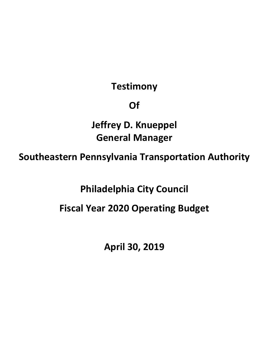## **Testimony**

## **Of**

**Jeffrey D. Knueppel General Manager** 

**Southeastern Pennsylvania Transportation Authority** 

**Philadelphia City Council** 

**Fiscal Year 2020 Operating Budget** 

**April 30, 2019**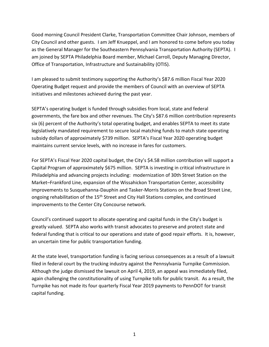Good morning Council President Clarke, Transportation Committee Chair Johnson, members of City Council and other guests. I am Jeff Knueppel, and I am honored to come before you today as the General Manager for the Southeastern Pennsylvania Transportation Authority (SEPTA). I am joined by SEPTA Philadelphia Board member, Michael Carroll, Deputy Managing Director, Office of Transportation, Infrastructure and Sustainability (OTIS).

I am pleased to submit testimony supporting the Authority's \$87.6 million Fiscal Year 2020 Operating Budget request and provide the members of Council with an overview of SEPTA initiatives and milestones achieved during the past year.

SEPTA's operating budget is funded through subsidies from local, state and federal governments, the fare box and other revenues. The City's \$87.6 million contribution represents six (6) percent of the Authority's total operating budget, and enables SEPTA to meet its state legislatively mandated requirement to secure local matching funds to match state operating subsidy dollars of approximately \$739 million. SEPTA's Fiscal Year 2020 operating budget maintains current service levels, with no increase in fares for customers.

For SEPTA's Fiscal Year 2020 capital budget, the City's \$4.58 million contribution will support a Capital Program of approximately \$675 million. SEPTA is investing in critical infrastructure in Philadelphia and advancing projects including: modernization of 30th Street Station on the Market–Frankford Line, expansion of the Wissahickon Transportation Center, accessibility improvements to Susquehanna-Dauphin and Tasker-Morris Stations on the Broad Street Line, ongoing rehabilitation of the 15<sup>th</sup> Street and City Hall Stations complex, and continued improvements to the Center City Concourse network.

Council's continued support to allocate operating and capital funds in the City's budget is greatly valued. SEPTA also works with transit advocates to preserve and protect state and federal funding that is critical to our operations and state of good repair efforts. It is, however, an uncertain time for public transportation funding.

At the state level, transportation funding is facing serious consequences as a result of a lawsuit filed in federal court by the trucking industry against the Pennsylvania Turnpike Commission. Although the judge dismissed the lawsuit on April 4, 2019, an appeal was immediately filed, again challenging the constitutionality of using Turnpike tolls for public transit. As a result, the Turnpike has not made its four quarterly Fiscal Year 2019 payments to PennDOT for transit capital funding.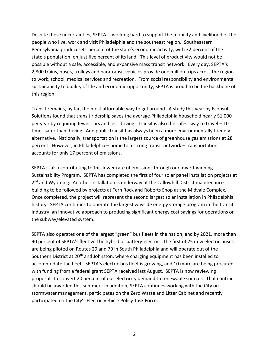Despite these uncertainties, SEPTA is working hard to support the mobility and livelihood of the people who live, work and visit Philadelphia and the southeast region. Southeastern Pennsylvania produces 41 percent of the state's economic activity, with 32 percent of the state's population, on just five percent of its land. This level of productivity would not be possible without a safe, accessible, and expansive mass transit network. Every day, SEPTA's 2,800 trains, buses, trolleys and paratransit vehicles provide one million trips across the region to work, school, medical services and recreation. From social responsibility and environmental sustainability to quality of life and economic opportunity, SEPTA is proud to be the backbone of this region.

Transit remains, by far, the most affordable way to get around. A study this year by Econsult Solutions found that transit ridership saves the average Philadelphia household nearly \$1,000 per year by requiring fewer cars and less driving. Transit is also the safest way to travel – 10 times safer than driving. And public transit has always been a more environmentally friendly alternative. Nationally, transportation is the largest source of greenhouse gas emissions at 28 percent. However, in Philadelphia – home to a strong transit network – transportation accounts for only 17 percent of emissions.

SEPTA is also contributing to this lower rate of emissions through our award-winning Sustainability Program. SEPTA has completed the first of four solar panel installation projects at 2<sup>nd</sup> and Wyoming. Another installation is underway at the Callowhill District maintenance building to be followed by projects at Fern Rock and Roberts Shop at the Midvale Complex. Once completed, the project will represent the second largest solar installation in Philadelphia history. SEPTA continues to operate the largest wayside energy storage program in the transit industry, an innovative approach to producing significant energy cost savings for operations on the subway/elevated system.

SEPTA also operates one of the largest "green" bus fleets in the nation, and by 2021, more than 90 percent of SEPTA's fleet will be hybrid or battery-electric. The first of 25 new electric buses are being piloted on Routes 29 and 79 in South Philadelphia and will operate out of the Southern District at 20<sup>th</sup> and Johnston, where charging equipment has been installed to accommodate the fleet. SEPTA's electric bus fleet is growing, and 10 more are being procured with funding from a federal grant SEPTA received last August. SEPTA is now reviewing proposals to convert 20 percent of our electricity demand to renewable sources. That contract should be awarded this summer. In addition, SEPTA continues working with the City on stormwater management, participates on the Zero Waste and Litter Cabinet and recently participated on the City's Electric Vehicle Policy Task Force.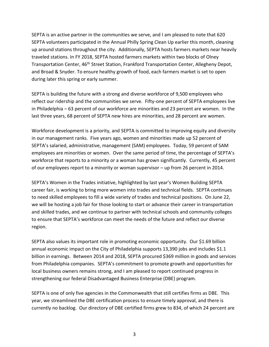SEPTA is an active partner in the communities we serve, and I am pleased to note that 620 SEPTA volunteers participated in the Annual Philly Spring Clean Up earlier this month, cleaning up around stations throughout the city. Additionally, SEPTA hosts farmers markets near heavily traveled stations. In FY 2018, SEPTA hosted farmers markets within two blocks of Olney Transportation Center, 46<sup>th</sup> Street Station, Frankford Transportation Center, Allegheny Depot, and Broad & Snyder. To ensure healthy growth of food, each farmers market is set to open during later this spring or early summer.

SEPTA is building the future with a strong and diverse workforce of 9,500 employees who reflect our ridership and the communities we serve. Fifty-one percent of SEPTA employees live in Philadelphia – 63 percent of our workforce are minorities and 23 percent are women. In the last three years, 68 percent of SEPTA new hires are minorities, and 28 percent are women.

Workforce development is a priority, and SEPTA is committed to improving equity and diversity in our management ranks. Five years ago, women and minorities made up 52 percent of SEPTA's salaried, administrative, management (SAM) employees. Today, 59 percent of SAM employees are minorities or women. Over the same period of time, the percentage of SEPTA's workforce that reports to a minority or a woman has grown significantly. Currently, 45 percent of our employees report to a minority or woman supervisor – up from 26 percent in 2014.

SEPTA's Women in the Trades initiative, highlighted by last year's Women Building SEPTA career fair, is working to bring more women into trades and technical fields. SEPTA continues to need skilled employees to fill a wide variety of trades and technical positions. On June 22, we will be hosting a job fair for those looking to start or advance their career in transportation and skilled trades, and we continue to partner with technical schools and community colleges to ensure that SEPTA's workforce can meet the needs of the future and reflect our diverse region.

SEPTA also values its important role in promoting economic opportunity. Our \$1.69 billion annual economic impact on the City of Philadelphia supports 13,390 jobs and includes \$1.1 billion in earnings. Between 2014 and 2018, SEPTA procured \$369 million in goods and services from Philadelphia companies. SEPTA's commitment to promote growth and opportunities for local business owners remains strong, and I am pleased to report continued progress in strengthening our federal Disadvantaged Business Enterprise (DBE) program.

SEPTA is one of only five agencies in the Commonwealth that still certifies firms as DBE. This year, we streamlined the DBE certification process to ensure timely approval, and there is currently no backlog. Our directory of DBE certified firms grew to 834, of which 24 percent are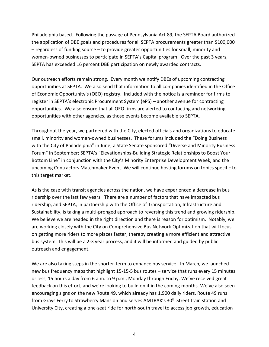Philadelphia based. Following the passage of Pennsylvania Act 89, the SEPTA Board authorized the application of DBE goals and procedures for all SEPTA procurements greater than \$100,000 – regardless of funding source – to provide greater opportunities for small, minority and women-owned businesses to participate in SEPTA's Capital program. Over the past 3 years, SEPTA has exceeded 16 percent DBE participation on newly awarded contracts.

Our outreach efforts remain strong. Every month we notify DBEs of upcoming contracting opportunities at SEPTA. We also send that information to all companies identified in the Office of Economic Opportunity's (OEO) registry. Included with the notice is a reminder for firms to register in SEPTA's electronic Procurement System (ePS) – another avenue for contracting opportunities. We also ensure that all OEO firms are alerted to contacting and networking opportunities with other agencies, as those events become available to SEPTA.

Throughout the year, we partnered with the City, elected officials and organizations to educate small, minority and women-owned businesses. These forums included the "Doing Business with the City of Philadelphia" in June; a State Senate sponsored "Diverse and Minority Business Forum" in September; SEPTA's "Elevationships-Building Strategic Relationships to Boost Your Bottom Line" in conjunction with the City's Minority Enterprise Development Week, and the upcoming Contractors Matchmaker Event. We will continue hosting forums on topics specific to this target market.

As is the case with transit agencies across the nation, we have experienced a decrease in bus ridership over the last few years. There are a number of factors that have impacted bus ridership, and SEPTA, in partnership with the Office of Transportation, Infrastructure and Sustainability, is taking a multi-pronged approach to reversing this trend and growing ridership. We believe we are headed in the right direction and there is reason for optimism. Notably, we are working closely with the City on Comprehensive Bus Network Optimization that will focus on getting more riders to more places faster, thereby creating a more efficient and attractive bus system. This will be a 2-3 year process, and it will be informed and guided by public outreach and engagement.

We are also taking steps in the shorter-term to enhance bus service. In March, we launched new bus frequency maps that highlight 15-15-5 bus routes – service that runs every 15 minutes or less, 15 hours a day from 6 a.m. to 9 p.m., Monday through Friday. We've received great feedback on this effort, and we're looking to build on it in the coming months. We've also seen encouraging signs on the new Route 49, which already has 1,900 daily riders. Route 49 runs from Grays Ferry to Strawberry Mansion and serves AMTRAK's 30<sup>th</sup> Street train station and University City, creating a one-seat ride for north-south travel to access job growth, education

4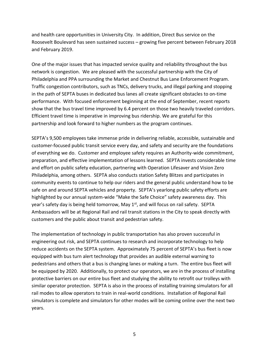and health care opportunities in University City. In addition, Direct Bus service on the Roosevelt Boulevard has seen sustained success – growing five percent between February 2018 and February 2019.

One of the major issues that has impacted service quality and reliability throughout the bus network is congestion. We are pleased with the successful partnership with the City of Philadelphia and PPA surrounding the Market and Chestnut Bus Lane Enforcement Program. Traffic congestion contributors, such as TNCs, delivery trucks, and illegal parking and stopping in the path of SEPTA buses in dedicated bus lanes all create significant obstacles to on-time performance. With focused enforcement beginning at the end of September, recent reports show that the bus travel time improved by 6.4 percent on those two heavily traveled corridors. Efficient travel time is imperative in improving bus ridership. We are grateful for this partnership and look forward to higher numbers as the program continues.

SEPTA's 9,500 employees take immense pride in delivering reliable, accessible, sustainable and customer-focused public transit service every day, and safety and security are the foundations of everything we do. Customer and employee safety requires an Authority-wide commitment, preparation, and effective implementation of lessons learned. SEPTA invests considerable time and effort on public safety education, partnering with Operation Lifesaver and Vision Zero Philadelphia, among others. SEPTA also conducts station Safety Blitzes and participates in community events to continue to help our riders and the general public understand how to be safe on and around SEPTA vehicles and property. SEPTA's yearlong public safety efforts are highlighted by our annual system-wide "Make the Safe Choice" safety awareness day. This year's safety day is being held tomorrow, May  $1<sup>st</sup>$ , and will focus on rail safety. SEPTA Ambassadors will be at Regional Rail and rail transit stations in the City to speak directly with customers and the public about transit and pedestrian safety.

The implementation of technology in public transportation has also proven successful in engineering out risk, and SEPTA continues to research and incorporate technology to help reduce accidents on the SEPTA system. Approximately 75 percent of SEPTA's bus fleet is now equipped with bus turn alert technology that provides an audible external warning to pedestrians and others that a bus is changing lanes or making a turn. The entire bus fleet will be equipped by 2020. Additionally, to protect our operators, we are in the process of installing protective barriers on our entire bus fleet and studying the ability to retrofit our trolleys with similar operator protection. SEPTA is also in the process of installing training simulators for all rail modes to allow operators to train in real-world conditions. Installation of Regional Rail simulators is complete and simulators for other modes will be coming online over the next two years.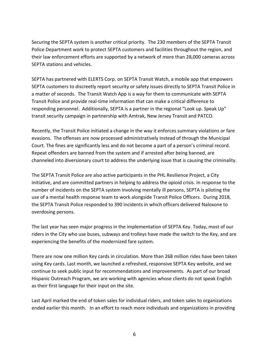Securing the SEPTA system is another critical priority. The 230 members of the SEPTA Transit Police Department work to protect SEPTA customers and facilities throughout the region, and their law enforcement efforts are supported by a network of more than 28,000 cameras across SEPTA stations and vehicles.

SEPTA has partnered with ELERTS Corp. on SEPTA Transit Watch, a mobile app that empowers SEPTA customers to discreetly report security or safety issues directly to SEPTA Transit Police in a matter of seconds. The Transit Watch App is a way for them to communicate with SEPTA Transit Police and provide real-time information that can make a critical difference to responding personnel. Additionally, SEPTA is a partner in the regional "Look up. Speak Up" transit security campaign in partnership with Amtrak, New Jersey Transit and PATCO.

Recently, the Transit Police initiated a change in the way it enforces summary violations or fare evasions. The offenses are now processed administratively instead of through the Municipal Court. The fines are significantly less and do not become a part of a person's criminal record. Repeat offenders are banned from the system and if arrested after being banned, are channeled into diversionary court to address the underlying issue that is causing the criminality.

The SEPTA Transit Police are also active participants in the PHL Resilience Project, a City initiative, and are committed partners in helping to address the opioid crisis. In response to the number of incidents on the SEPTA system involving mentally ill persons, SEPTA is piloting the use of a mental health response team to work alongside Transit Police Officers. During 2018, the SEPTA Transit Police responded to 390 incidents in which officers delivered Naloxone to overdosing persons.

The last year has seen major progress in the implementation of SEPTA Key. Today, most of our riders in the City who use buses, subways and trolleys have made the switch to the Key, and are experiencing the benefits of the modernized fare system.

There are now one million Key cards in circulation. More than 268 million rides have been taken using Key cards. Last month, we launched a refreshed, responsive SEPTA Key website, and we continue to seek public input for recommendations and improvements. As part of our broad Hispanic Outreach Program, we are working with agencies whose clients do not speak English as their first language for their input on the site.

Last April marked the end of token sales for individual riders, and token sales to organizations ended earlier this month. In an effort to reach more individuals and organizations in providing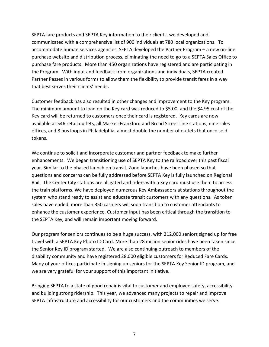SEPTA fare products and SEPTA Key information to their clients, we developed and communicated with a comprehensive list of 900 individuals at 780 local organizations. To accommodate human services agencies, SEPTA developed the Partner Program – a new on-line purchase website and distribution process, eliminating the need to go to a SEPTA Sales Office to purchase fare products. More than 450 organizations have registered and are participating in the Program. With input and feedback from organizations and individuals, SEPTA created Partner Passes in various forms to allow them the flexibility to provide transit fares in a way that best serves their clients' needs**.** 

Customer feedback has also resulted in other changes and improvement to the Key program. The minimum amount to load on the Key card was reduced to \$5.00, and the \$4.95 cost of the Key card will be returned to customers once their card is registered. Key cards are now available at 546 retail outlets, all Market-Frankford and Broad Street Line stations, nine sales offices, and 8 bus loops in Philadelphia, almost double the number of outlets that once sold tokens.

We continue to solicit and incorporate customer and partner feedback to make further enhancements. We began transitioning use of SEPTA Key to the railroad over this past fiscal year. Similar to the phased launch on transit, Zone launches have been phased so that questions and concerns can be fully addressed before SEPTA Key is fully launched on Regional Rail. The Center City stations are all gated and riders with a Key card must use them to access the train platforms. We have deployed numerous Key Ambassadors at stations throughout the system who stand ready to assist and educate transit customers with any questions. As token sales have ended, more than 350 cashiers will soon transition to customer attendants to enhance the customer experience. Customer input has been critical through the transition to the SEPTA Key, and will remain important moving forward.

Our program for seniors continues to be a huge success, with 212,000 seniors signed up for free travel with a SEPTA Key Photo ID Card. More than 28 million senior rides have been taken since the Senior Key ID program started. We are also continuing outreach to members of the disability community and have registered 28,000 eligible customers for Reduced Fare Cards. Many of your offices participate in signing up seniors for the SEPTA Key Senior ID program, and we are very grateful for your support of this important initiative.

Bringing SEPTA to a state of good repair is vital to customer and employee safety, accessibility and building strong ridership. This year, we advanced many projects to repair and improve SEPTA infrastructure and accessibility for our customers and the communities we serve.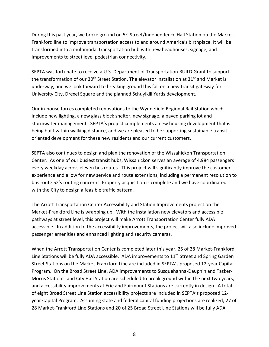During this past year, we broke ground on 5<sup>th</sup> Street/Independence Hall Station on the Market-Frankford line to improve transportation access to and around America's birthplace. It will be transformed into a multimodal transportation hub with new headhouses, signage, and improvements to street level pedestrian connectivity.

SEPTA was fortunate to receive a U.S. Department of Transportation BUILD Grant to support the transformation of our 30<sup>th</sup> Street Station. The elevator installation at 31<sup>st</sup> and Market is underway, and we look forward to breaking ground this fall on a new transit gateway for University City, Drexel Square and the planned Schuylkill Yards development.

Our in-house forces completed renovations to the Wynnefield Regional Rail Station which include new lighting, a new glass block shelter, new signage, a paved parking lot and stormwater management. SEPTA's project complements a new housing development that is being built within walking distance, and we are pleased to be supporting sustainable transitoriented development for these new residents and our current customers.

SEPTA also continues to design and plan the renovation of the Wissahickon Transportation Center. As one of our busiest transit hubs, Wissahickon serves an average of 4,984 passengers every weekday across eleven bus routes. This project will significantly improve the customer experience and allow for new service and route extensions, including a permanent resolution to bus route 52's routing concerns. Property acquisition is complete and we have coordinated with the City to design a feasible traffic pattern.

The Arrott Transportation Center Accessibility and Station Improvements project on the Market-Frankford Line is wrapping up. With the installation new elevators and accessible pathways at street level, this project will make Arrott Transportation Center fully ADA accessible. In addition to the accessibility improvements, the project will also include improved passenger amenities and enhanced lighting and security cameras.

When the Arrott Transportation Center is completed later this year, 25 of 28 Market-Frankford Line Stations will be fully ADA accessible. ADA improvements to  $11<sup>th</sup>$  Street and Spring Garden Street Stations on the Market-Frankford Line are included in SEPTA's proposed 12-year Capital Program. On the Broad Street Line, ADA improvements to Susquehanna-Dauphin and Tasker-Morris Stations, and City Hall Station are scheduled to break ground within the next two years, and accessibility improvements at Erie and Fairmount Stations are currently in design. A total of eight Broad Street Line Station accessibility projects are included in SEPTA's proposed 12 year Capital Program. Assuming state and federal capital funding projections are realized, 27 of 28 Market-Frankford Line Stations and 20 of 25 Broad Street Line Stations will be fully ADA